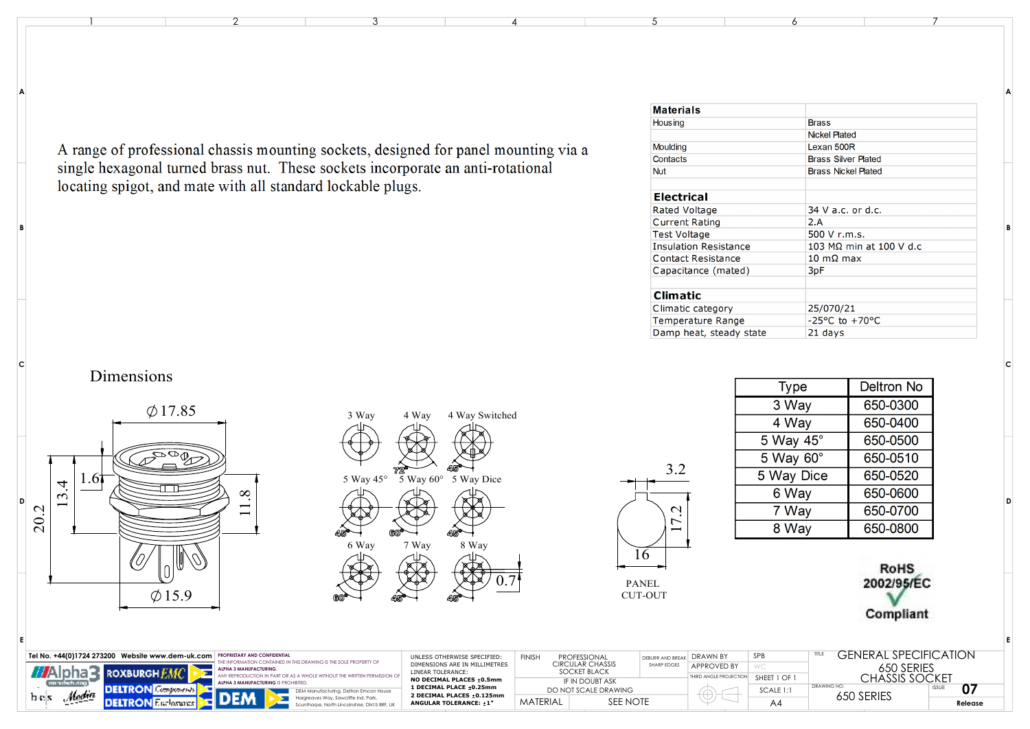A range of professional chassis mounting sockets, designed for panel mounting via a single hexagonal turned brass nut. These sockets incorporate an anti-rotational locating spigot, and mate with all standard lockable plugs.

| <b>Materials</b>             |                                    |  |  |  |  |  |
|------------------------------|------------------------------------|--|--|--|--|--|
| <b>Housing</b>               | <b>Brass</b>                       |  |  |  |  |  |
|                              | <b>Nickel Plated</b>               |  |  |  |  |  |
| Moulding                     | Lexan 500R                         |  |  |  |  |  |
| Contacts                     | <b>Brass Silver Plated</b>         |  |  |  |  |  |
| <b>Nut</b>                   | <b>Brass Nickel Plated</b>         |  |  |  |  |  |
| <b>Electrical</b>            |                                    |  |  |  |  |  |
| Rated Voltage                | $34$ V a.c. or d.c.                |  |  |  |  |  |
| Current Rating               | 2.A                                |  |  |  |  |  |
| Test Voltage                 | 500 V r.m.s.                       |  |  |  |  |  |
| <b>Insulation Resistance</b> | 103 MΩ min at 100 V d.c            |  |  |  |  |  |
| Contact Resistance           | $10 \text{ m}\Omega$ max           |  |  |  |  |  |
| Capacitance (mated)          | 3 <sub>pF</sub>                    |  |  |  |  |  |
| <b>Climatic</b>              |                                    |  |  |  |  |  |
| Climatic category            | 25/070/21                          |  |  |  |  |  |
| Temperature Range            | $-25^{\circ}$ C to $+70^{\circ}$ C |  |  |  |  |  |
| Damp heat, steady state      | 21 days                            |  |  |  |  |  |

**A**

**B**

**D**

**C**

**E**

Dimensions

**B**

**A**

**C**

**E**



| œ<br>72<br>5 Way 45°<br>$\overline{5}$ Way 60 $^{\circ}$<br>5 Way Dice<br>ĸ,<br>60<br>45<br>6 Way<br>8 Way<br>7 Way<br>$\overline{0.7}$<br>b. | 3 Way | 4 Way | 4 Way Switched |
|-----------------------------------------------------------------------------------------------------------------------------------------------|-------|-------|----------------|
|                                                                                                                                               |       |       |                |
|                                                                                                                                               |       |       |                |
|                                                                                                                                               |       |       |                |
|                                                                                                                                               |       |       |                |
|                                                                                                                                               | BO    |       |                |

16 17.2 3.2

| <b>Type</b>        | <b>Deltron No</b> |  |  |  |
|--------------------|-------------------|--|--|--|
| 3 Way              | 650-0300          |  |  |  |
| 4 Way              | 650-0400          |  |  |  |
| 5 Way 45°          | 650-0500          |  |  |  |
| $5$ Way $60^\circ$ | 650-0510          |  |  |  |
| 5 Way Dice         | 650-0520          |  |  |  |
| 6 Way              | 650-0600          |  |  |  |
| 7 Way              | 650-0700          |  |  |  |
| 8 Way              | 650-0800          |  |  |  |
|                    |                   |  |  |  |





| Tel No. +44(0)1724 273200 Website www.dem-uk.com   PROPRIETARY AND CONFIDENTIAL                                       | UNLESS OTHERWISE SPECIFIED:                           | <b>FINISH</b>        | <b>PROFESSIONAL</b>              | DEBURR AND RREAK | <b>NE DRAWN BY</b>     | SPB                      | GENERAL SPECIFICATION |         |
|-----------------------------------------------------------------------------------------------------------------------|-------------------------------------------------------|----------------------|----------------------------------|------------------|------------------------|--------------------------|-----------------------|---------|
| INFORMATION CONTAINED IN THIS DRAWING IS THE SOLE PROPERTY OF<br><b>ALPHA 3 MANUFACTURING</b><br>XBURGH <i>F.MC</i> I | DIMENSIONS ARE IN MILLIMETRES<br>LINEAR TOLERANCE:    |                      | CIRCULAR CHASSIS<br>SOCKET BLACK | SHARP EDGES      | <b>APPROVED BY</b>     |                          | 650 SERIES            |         |
| <b>ALPHA 3 MANUFACTURING</b>                                                                                          | NO DECIMAL PLACES +0.5mm                              |                      | IF IN DOUBT ASK                  |                  | THIRD ANGLE PROJECTIC. | SHEET 1 OF               |                       |         |
| $M$ of $\sigma$                                                                                                       | 1 DECIMAL PLACE ±0.25mm<br>2 DECIMAL PLACES : 0.125mm | DO NOT SCALE DRAWING |                                  |                  | SCALE 1:1              | DRAWING NO<br>650 SERIES | 07<br><b>ISSUE</b>    |         |
| h- is                                                                                                                 | ANGULAR TOLERANCE: +1°                                | <b>MATERIAL</b>      | SEE NOTE                         |                  |                        | A۴                       |                       | Release |

 $\frac{1}{2}$  and  $\frac{3}{4}$  and  $\frac{5}{5}$  6